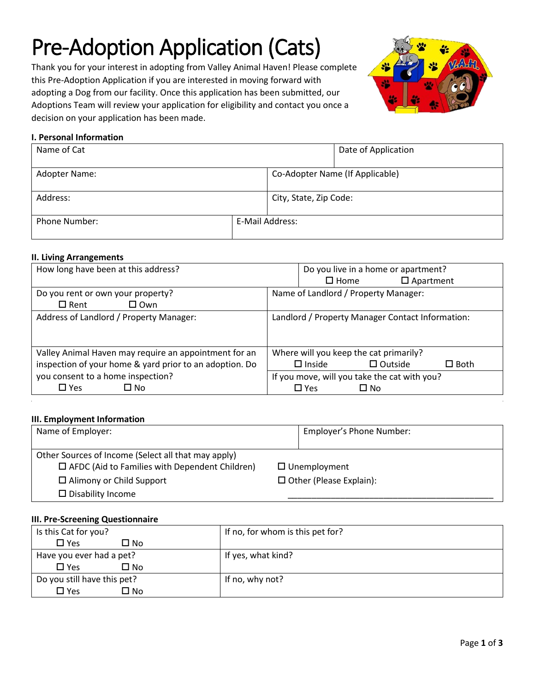# Pre-Adoption Application (Cats)

Thank you for your interest in adopting from Valley Animal Haven! Please complete this Pre-Adoption Application if you are interested in moving forward with adopting a Dog from our facility. Once this application has been submitted, our Adoptions Team will review your application for eligibility and contact you once a decision on your application has been made.



## **I. Personal Information**

| Name of Cat          |                 | Date of Application |                                 |  |
|----------------------|-----------------|---------------------|---------------------------------|--|
| Adopter Name:        |                 |                     | Co-Adopter Name (If Applicable) |  |
| Address:             |                 |                     | City, State, Zip Code:          |  |
| <b>Phone Number:</b> | E-Mail Address: |                     |                                 |  |

## **II. Living Arrangements**

| How long have been at this address?                     | Do you live in a home or apartment?               |
|---------------------------------------------------------|---------------------------------------------------|
|                                                         | $\square$ Home<br>$\square$ Apartment             |
| Do you rent or own your property?                       | Name of Landlord / Property Manager:              |
| $\square$ Own<br>$\square$ Rent                         |                                                   |
| Address of Landlord / Property Manager:                 | Landlord / Property Manager Contact Information:  |
|                                                         |                                                   |
| Valley Animal Haven may require an appointment for an   | Where will you keep the cat primarily?            |
| inspection of your home & yard prior to an adoption. Do | $\Box$ Outside<br>$\square$ Inside<br>$\Box$ Both |
| you consent to a home inspection?                       | If you move, will you take the cat with you?      |
| $\Box$ Yes<br>$\Box$ No                                 | $\square$ Yes<br>$\square$ No                     |

#### **III. Employment Information**

| Name of Employer:                                                                                            | Employer's Phone Number:       |
|--------------------------------------------------------------------------------------------------------------|--------------------------------|
| Other Sources of Income (Select all that may apply)<br>$\Box$ AFDC (Aid to Families with Dependent Children) | $\Box$ Unemployment            |
| $\Box$ Alimony or Child Support                                                                              | $\Box$ Other (Please Explain): |
| $\square$ Disability Income                                                                                  |                                |

#### **III. Pre-Screening Questionnaire**

| Is this Cat for you?        | If no, for whom is this pet for? |
|-----------------------------|----------------------------------|
| $\Box$ Yes<br>□ No          |                                  |
| Have you ever had a pet?    | If yes, what kind?               |
| □ No<br>$\Box$ Yes          |                                  |
| Do you still have this pet? | If no, why not?                  |
| □ No<br>$\square$ Yes       |                                  |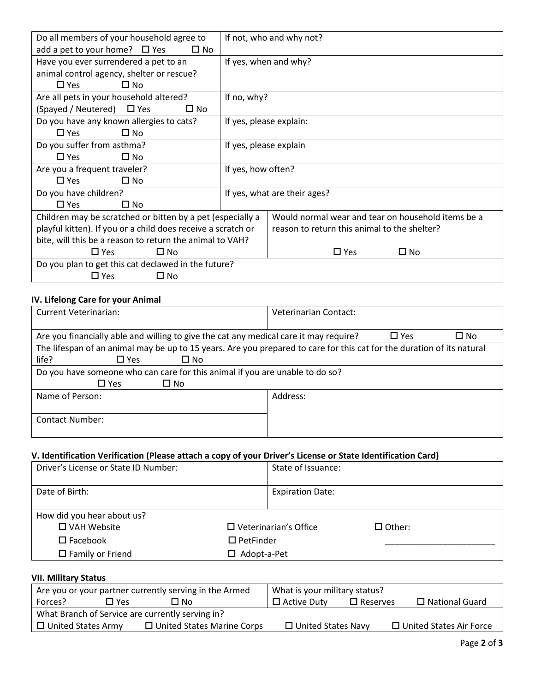| Do all members of your household agree to                    |                                                                | If not, who and why not?                           |  |  |
|--------------------------------------------------------------|----------------------------------------------------------------|----------------------------------------------------|--|--|
|                                                              |                                                                |                                                    |  |  |
| add a pet to your home? $\Box$ Yes<br>$\square$ No           |                                                                |                                                    |  |  |
|                                                              | Have you ever surrendered a pet to an<br>If yes, when and why? |                                                    |  |  |
| animal control agency, shelter or rescue?                    |                                                                |                                                    |  |  |
| $\Box$ No<br>$\Box$ Yes                                      |                                                                |                                                    |  |  |
| Are all pets in your household altered?                      | If no, why?                                                    |                                                    |  |  |
| (Spayed / Neutered) □ Yes<br>□ No                            |                                                                |                                                    |  |  |
| Do you have any known allergies to cats?                     | If yes, please explain:                                        |                                                    |  |  |
| $\Box$ No<br>$\Box$ Yes                                      |                                                                |                                                    |  |  |
| Do you suffer from asthma?<br>If yes, please explain         |                                                                |                                                    |  |  |
| $\Box$ Yes<br>$\square$ No                                   |                                                                |                                                    |  |  |
| Are you a frequent traveler?<br>If yes, how often?           |                                                                |                                                    |  |  |
| $\square$ No<br>$\Box$ Yes                                   |                                                                |                                                    |  |  |
| Do you have children?                                        |                                                                | If yes, what are their ages?                       |  |  |
| $\Box$ Yes<br>$\Box$ No                                      |                                                                |                                                    |  |  |
| Children may be scratched or bitten by a pet (especially a   |                                                                | Would normal wear and tear on household items be a |  |  |
| playful kitten). If you or a child does receive a scratch or |                                                                | reason to return this animal to the shelter?       |  |  |
| bite, will this be a reason to return the animal to VAH?     |                                                                |                                                    |  |  |
| $\square$ No<br>$\Box$ Yes                                   |                                                                | $\square$ Yes<br>$\square$ No                      |  |  |
| Do you plan to get this cat declawed in the future?          |                                                                |                                                    |  |  |
| $\Box$ Yes<br>$\Box$ No                                      |                                                                |                                                    |  |  |

# **IV. Lifelong Care for your Animal**

| <b>Current Veterinarian:</b>                                                                                           | Veterinarian Contact:      |  |
|------------------------------------------------------------------------------------------------------------------------|----------------------------|--|
|                                                                                                                        |                            |  |
| Are you financially able and willing to give the cat any medical care it may require?                                  | $\Box$ Yes<br>$\square$ No |  |
| The lifespan of an animal may be up to 15 years. Are you prepared to care for this cat for the duration of its natural |                            |  |
| life?<br>$\square$ No<br>$\square$ Yes                                                                                 |                            |  |
| Do you have someone who can care for this animal if you are unable to do so?                                           |                            |  |
| $\Box$ Yes<br>$\square$ No                                                                                             |                            |  |
| Name of Person:                                                                                                        | Address:                   |  |
|                                                                                                                        |                            |  |
| Contact Number:                                                                                                        |                            |  |
|                                                                                                                        |                            |  |

# **V. Identification Verification (Please attach a copy of your Driver's License or State Identification Card)**

| Driver's License or State ID Number: |                    | State of Issuance:           |               |
|--------------------------------------|--------------------|------------------------------|---------------|
| Date of Birth:                       |                    | <b>Expiration Date:</b>      |               |
| How did you hear about us?           |                    |                              |               |
| $\square$ VAH Website                |                    | $\Box$ Veterinarian's Office | $\Box$ Other: |
| $\square$ Facebook                   | $\Box$ PetFinder   |                              |               |
| $\Box$ Family or Friend              | $\Box$ Adopt-a-Pet |                              |               |

# **VII. Military Status**

| Are you or your partner currently serving in the Armed |            | What is your military status?     |  |                           |                 |                                |
|--------------------------------------------------------|------------|-----------------------------------|--|---------------------------|-----------------|--------------------------------|
| Forces?                                                | $\Box$ Yes | No L                              |  | $\Box$ Active Duty        | $\Box$ Reserves | $\Box$ National Guard          |
| What Branch of Service are currently serving in?       |            |                                   |  |                           |                 |                                |
| $\Box$ United States Army                              |            | $\Box$ United States Marine Corps |  | $\Box$ United States Navy |                 | $\Box$ United States Air Force |